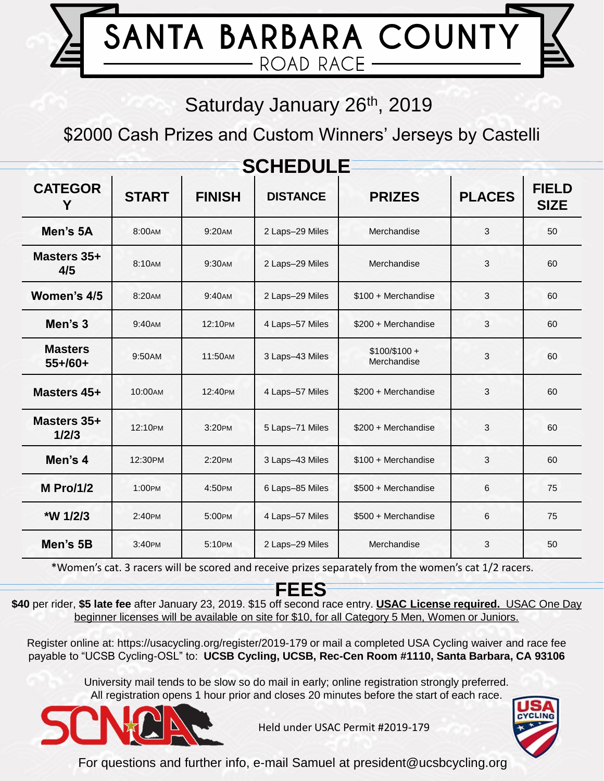

### Saturday January 26<sup>th</sup>, 2019

\$2000 Cash Prizes and Custom Winners' Jerseys by Castelli

| <b>SCHEDULE</b>               |              |               |                 |                              |               |                             |
|-------------------------------|--------------|---------------|-----------------|------------------------------|---------------|-----------------------------|
| <b>CATEGOR</b><br>Y           | <b>START</b> | <b>FINISH</b> | <b>DISTANCE</b> | <b>PRIZES</b>                | <b>PLACES</b> | <b>FIELD</b><br><b>SIZE</b> |
| Men's 5A                      | 8:00AM       | 9:20AM        | 2 Laps-29 Miles | Merchandise                  | 3             | 50                          |
| Masters 35+<br>4/5            | 8:10AM       | 9:30AM        | 2 Laps-29 Miles | Merchandise                  | 3             | 60                          |
| Women's 4/5                   | 8:20AM       | 9:40AM        | 2 Laps-29 Miles | \$100 + Merchandise          | 3             | 60                          |
| Men's 3                       | 9:40AM       | 12:10PM       | 4 Laps-57 Miles | \$200 + Merchandise          | 3             | 60                          |
| <b>Masters</b><br>$55 + 60 +$ | 9:50AM       | 11:50AM       | 3 Laps-43 Miles | $$100/$100 +$<br>Merchandise | 3             | 60                          |
| Masters 45+                   | 10:00AM      | 12:40PM       | 4 Laps-57 Miles | \$200 + Merchandise          | 3             | 60                          |
| Masters 35+<br>1/2/3          | 12:10PM      | 3:20PM        | 5 Laps-71 Miles | \$200 + Merchandise          | 3             | 60                          |
| Men's 4                       | 12:30PM      | 2:20PM        | 3 Laps-43 Miles | \$100 + Merchandise          | 3             | 60                          |
| <b>M</b> Pro/1/2              | 1:00PM       | 4:50PM        | 6 Laps-85 Miles | \$500 + Merchandise          | 6             | 75                          |
| *W 1/2/3                      | 2:40PM       | 5:00PM        | 4 Laps-57 Miles | \$500 + Merchandise          | 6             | 75                          |
| Men's 5B                      | 3:40PM       | 5:10PM        | 2 Laps-29 Miles | Merchandise                  | 3             | 50                          |

\*Women's cat. 3 racers will be scored and receive prizes separately from the women's cat 1/2 racers.

#### **FEES**

**\$40** per rider, **\$5 late fee** after January 23, 2019. \$15 off second race entry. **USAC License required.** USAC One Day beginner licenses will be available on site for \$10, for all Category 5 Men, Women or Juniors.

Register online at: https://usacycling.org/register/2019-179 or mail a completed USA Cycling waiver and race fee payable to "UCSB Cycling-OSL" to: **UCSB Cycling, UCSB, Rec-Cen Room #1110, Santa Barbara, CA 93106**

University mail tends to be slow so do mail in early; online registration strongly preferred. All registration opens 1 hour prior and closes 20 minutes before the start of each race.



Held under USAC Permit #2019-179



For questions and further info, e-mail Samuel at president@ucsbcycling.org